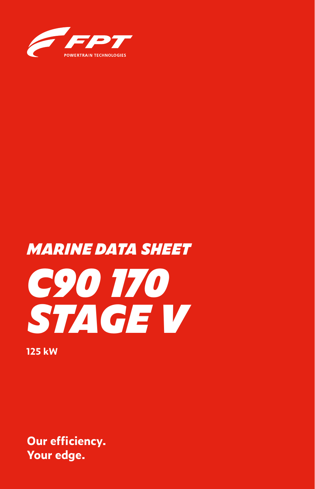

# *C90 170 STAGE V MARINE DATA SHEET*

**125 kW**

**Our efficiency. Your edge.**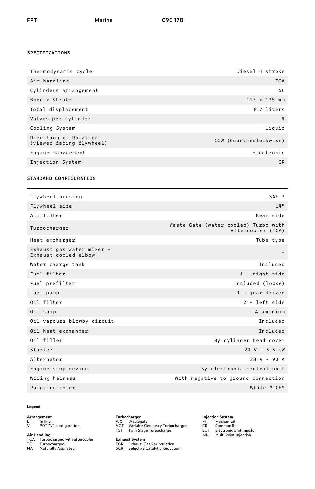## **SPECIFICATIONS**

| Thermodynamic cycle                               | Diesel 4 stroke        |
|---------------------------------------------------|------------------------|
| Air handling                                      | <b>TCA</b>             |
| Cylinders arrangement                             | 6L                     |
| Bore x Stroke                                     | $117 \times 135$ mm    |
| Total displacement                                | 8.7 liters             |
| Valves per cylinder                               | 4                      |
| Cooling System                                    | Liquid                 |
| Direction of Rotation<br>(viewed facing flywheel) | CCW (Counterclockwise) |
| Engine management                                 | Electronic             |
| Injection System                                  | C <sub>R</sub>         |
|                                                   |                        |

## **STANDARD CONFIGURATION**

| Flywheel housing                                  | SAE <sub>3</sub>                                          |
|---------------------------------------------------|-----------------------------------------------------------|
| Flywheel size                                     | 14"                                                       |
| Air filter                                        | Rear side                                                 |
| Turbocharger                                      | Waste Gate (water cooled) Turbo with<br>Aftercooler (TCA) |
| Heat excharger                                    | Tube type                                                 |
| Exhaust gas water mixer -<br>Exhaust cooled elbow |                                                           |
| Water charge tank                                 | Included                                                  |
| Fuel filter                                       | $1$ - right side                                          |
| Fuel prefilter                                    | Included (loose)                                          |
| Fuel pump                                         | 1 - gear driven                                           |
| Oil filter                                        | 2 - left side                                             |
| Oil sump                                          | Aluminium                                                 |
| Oil vapours blowby circuit                        | Included                                                  |
| Oil heat exchanger                                | Included                                                  |
| Oil filler                                        | By cylinder head cover                                    |
| Starter                                           | 24 V - 5.5 kW                                             |
| Alternator                                        | $28 V - 90 A$                                             |
| Engine stop device                                | By electronic central unit                                |
| Wiring harness                                    | With negative to ground connection                        |
| Painting color                                    | White "ICE"                                               |
|                                                   |                                                           |

## **Legend**

## **Arrangement**

L In line V 90° "V" configuration

- **Air Handling<br>TCA Turbocharged with aftercooler<br>TC Turbocharged<br>NA Naturally Aspirated**
- -

**Turbocharger**

WG Wastegate VGT Variable Geometry Turbocharger TST Twin Stage Turbocharger

**Exhaust System**<br>EGR – Exhaust Gas Recirculation<br>SCR – Selective Catalytic Reduction

## **Injection System**<br>M Mechanical<br>CR Common Rail<br>EUI Electronic Unit Injector<br>MPI Multi Point Injection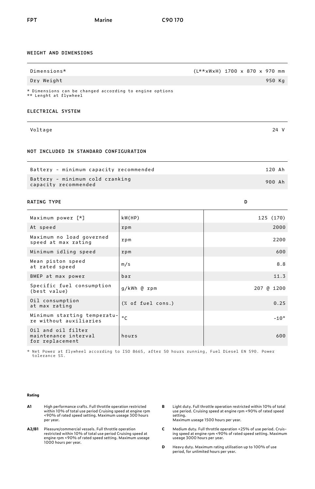## **WEIGHT AND DIMENSIONS**

| Dimensions*                                                                      |                   | (L**xWxH) 1700 x 870 x 970 mm |  |
|----------------------------------------------------------------------------------|-------------------|-------------------------------|--|
| Dry Weight                                                                       |                   | 950 Kg                        |  |
| * Dimensions can be changed according to engine options<br>** Lenght at flywheel |                   |                               |  |
| <b>ELECTRICAL SYSTEM</b>                                                         |                   |                               |  |
| Voltage                                                                          |                   | 24 V                          |  |
| NOT INCLUDED IN STANDARD CONFIGURATION                                           |                   |                               |  |
| Battery - minimum capacity recommended                                           |                   | 120 Ah                        |  |
| Battery - minimum cold cranking<br>capacity recommended                          |                   | 900 Ah                        |  |
| RATING TYPE                                                                      |                   | D                             |  |
| Maximum power [*]                                                                | kW(HP)            | 125 (170)                     |  |
| At speed                                                                         | rpm               | 2000                          |  |
| Maximum no load governed<br>speed at max rating                                  | rpm               | 2200                          |  |
| Minimum idling speed                                                             | rpm               | 600                           |  |
| Mean piston speed<br>at rated speed                                              | m/s               | 8.8                           |  |
| BMEP at max power                                                                | bar               | 11.3                          |  |
| Specific fuel consumption<br>(best value)                                        | g/kWh @ rpm       | 207 @ 1200                    |  |
| Oil consumption<br>at max rating                                                 | (X of fuel cons.) | 0.25                          |  |
| Minimum starting temperatu-<br>re without auxiliaries                            | $^{\circ}$ C      | $-10°$                        |  |
| Oil and oil filter<br>maintenance interval<br>for replacement                    | hours             | 600                           |  |

\* Net Power at flywheel according to ISO 8665, after 50 hours running, Fuel Diesel EN 590. Power tolerance 5%.

### **Rating**

- **A1** High performance crafts. Full throttle operation restricted<br>within 10% of total use period Cruising speed at engine rpm<br><90% of rated speed setting. Maximum useage 300 hours per year.
- **A2/B1** Pleasure/commercial vessels. Full throttle operation restricted within 10% of total use period Cruising speed at engine rpm <90% of rated speed setting. Maximum useage 1000 hours per year.
- **B** Light duty. Full throttle operation restricted within 10% of total use period. Cruising speed at engine rpm <90% of rated speed setting. Maximum useage 1500 hours per year.
- **C** Medium duty. Full throttle operation <25% of use period. Cruising speed at engine rpm <90% of rated speed setting. Maximum useage 3000 hours per year.
- **D** Heavy duty. Maximum rating utilisation up to 100% of use period, for unlimited hours per year.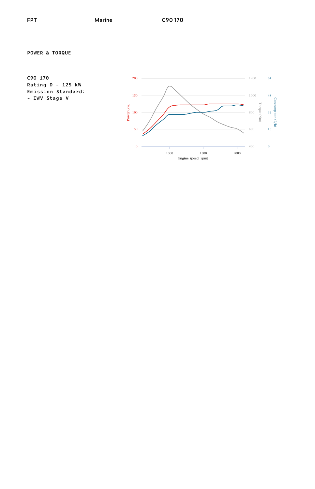**POWER & TORQUE**

**C90 170 Rating D - 125 kW Emission Standard: - IWV Stage V**

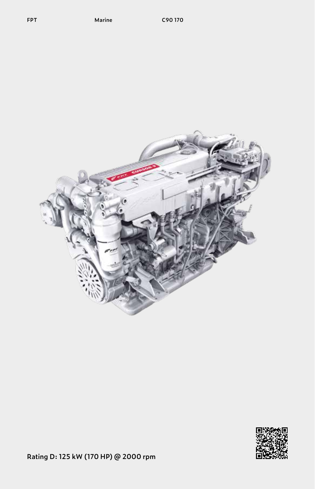



**Rating D: 125 kW (170 HP) @ 2000 rpm**